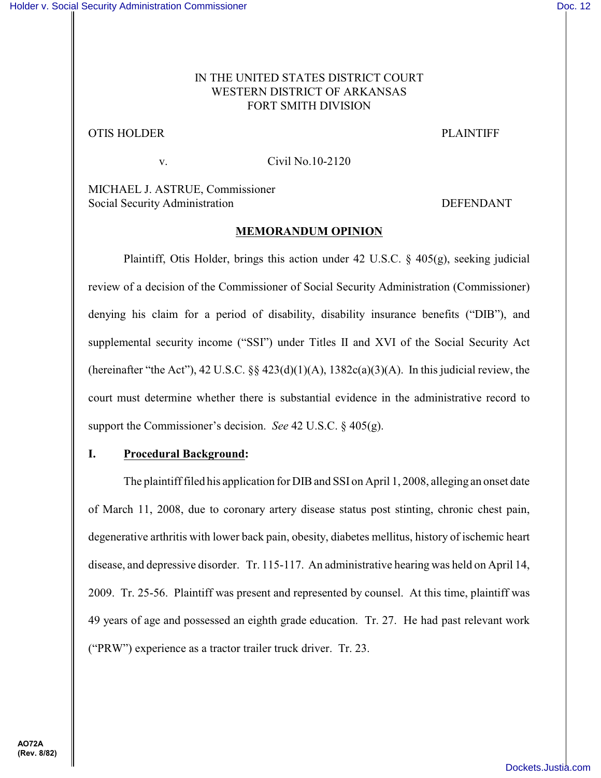## IN THE UNITED STATES DISTRICT COURT WESTERN DISTRICT OF ARKANSAS FORT SMITH DIVISION

# OTIS HOLDER PLAINTIFF

v. Civil No.10-2120

MICHAEL J. ASTRUE, Commissioner Social Security Administration DEFENDANT

## **MEMORANDUM OPINION**

Plaintiff, Otis Holder, brings this action under 42 U.S.C. § 405(g), seeking judicial review of a decision of the Commissioner of Social Security Administration (Commissioner) denying his claim for a period of disability, disability insurance benefits ("DIB"), and supplemental security income ("SSI") under Titles II and XVI of the Social Security Act (hereinafter "the Act"), 42 U.S.C.  $\S$   $\S$   $423(d)(1)(A)$ ,  $1382c(a)(3)(A)$ . In this judicial review, the court must determine whether there is substantial evidence in the administrative record to support the Commissioner's decision. *See* 42 U.S.C. § 405(g).

# **I. Procedural Background:**

The plaintiff filed his application for DIB and SSI on April 1, 2008, alleging an onset date of March 11, 2008, due to coronary artery disease status post stinting, chronic chest pain, degenerative arthritis with lower back pain, obesity, diabetes mellitus, history of ischemic heart disease, and depressive disorder. Tr. 115-117. An administrative hearing was held on April 14, 2009. Tr. 25-56. Plaintiff was present and represented by counsel. At this time, plaintiff was 49 years of age and possessed an eighth grade education. Tr. 27. He had past relevant work ("PRW") experience as a tractor trailer truck driver. Tr. 23.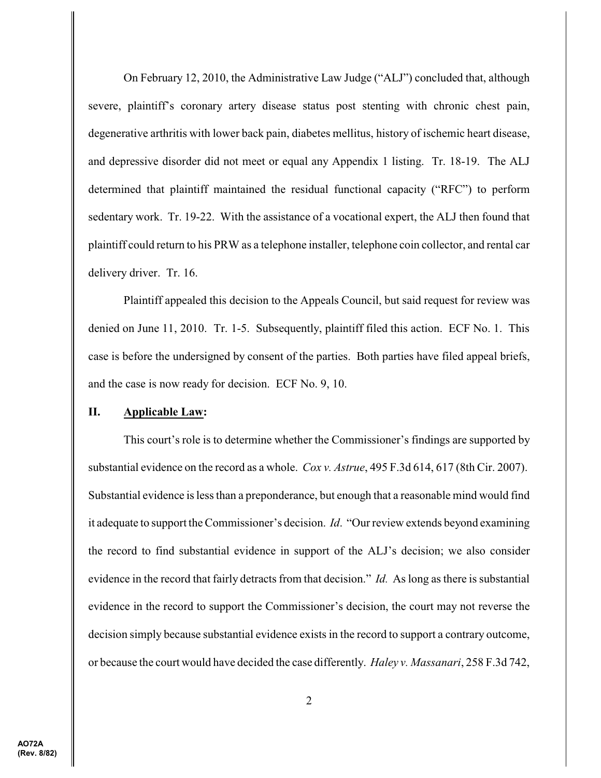On February 12, 2010, the Administrative Law Judge ("ALJ") concluded that, although severe, plaintiff's coronary artery disease status post stenting with chronic chest pain, degenerative arthritis with lower back pain, diabetes mellitus, history of ischemic heart disease, and depressive disorder did not meet or equal any Appendix 1 listing. Tr. 18-19. The ALJ determined that plaintiff maintained the residual functional capacity ("RFC") to perform sedentary work. Tr. 19-22. With the assistance of a vocational expert, the ALJ then found that plaintiff could return to his PRW as a telephone installer, telephone coin collector, and rental car delivery driver. Tr. 16.

Plaintiff appealed this decision to the Appeals Council, but said request for review was denied on June 11, 2010. Tr. 1-5. Subsequently, plaintiff filed this action. ECF No. 1. This case is before the undersigned by consent of the parties. Both parties have filed appeal briefs, and the case is now ready for decision. ECF No. 9, 10.

#### **II. Applicable Law:**

This court's role is to determine whether the Commissioner's findings are supported by substantial evidence on the record as a whole. *Cox v. Astrue*, 495 F.3d 614, 617 (8th Cir. 2007). Substantial evidence is less than a preponderance, but enough that a reasonable mind would find it adequate to support the Commissioner's decision. *Id*. "Ourreview extends beyond examining the record to find substantial evidence in support of the ALJ's decision; we also consider evidence in the record that fairly detracts from that decision." *Id.* As long as there is substantial evidence in the record to support the Commissioner's decision, the court may not reverse the decision simply because substantial evidence exists in the record to support a contrary outcome, or because the court would have decided the case differently. *Haley v. Massanari*, 258 F.3d 742,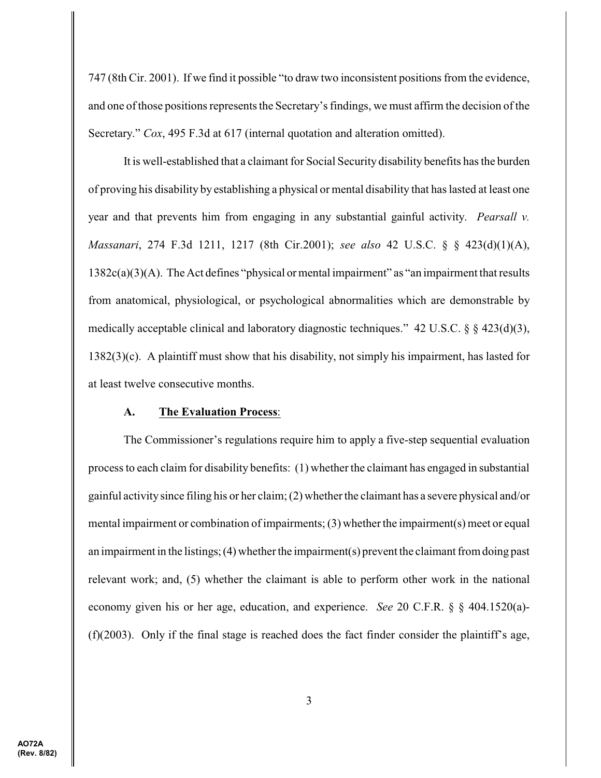747 (8th Cir. 2001). If we find it possible "to draw two inconsistent positions from the evidence, and one of those positions represents the Secretary's findings, we must affirm the decision of the Secretary." *Cox*, 495 F.3d at 617 (internal quotation and alteration omitted).

It is well-established that a claimant for Social Security disability benefits has the burden of proving his disability by establishing a physical or mental disability that has lasted at least one year and that prevents him from engaging in any substantial gainful activity. *Pearsall v. Massanari*, 274 F.3d 1211, 1217 (8th Cir.2001); *see also* 42 U.S.C. § § 423(d)(1)(A), 1382c(a)(3)(A). The Act defines "physical or mental impairment" as "an impairment that results from anatomical, physiological, or psychological abnormalities which are demonstrable by medically acceptable clinical and laboratory diagnostic techniques." 42 U.S.C. § § 423(d)(3), 1382(3)(c). A plaintiff must show that his disability, not simply his impairment, has lasted for at least twelve consecutive months.

### **A. The Evaluation Process**:

The Commissioner's regulations require him to apply a five-step sequential evaluation process to each claim for disability benefits: (1) whether the claimant has engaged in substantial gainful activity since filing his or her claim;  $(2)$  whether the claimant has a severe physical and/or mental impairment or combination of impairments;  $(3)$  whether the impairment $(s)$  meet or equal an impairment in the listings;  $(4)$  whether the impairment $(s)$  prevent the claimant from doing past relevant work; and, (5) whether the claimant is able to perform other work in the national economy given his or her age, education, and experience. *See* 20 C.F.R. § § 404.1520(a)-  $(f)(2003)$ . Only if the final stage is reached does the fact finder consider the plaintiff's age,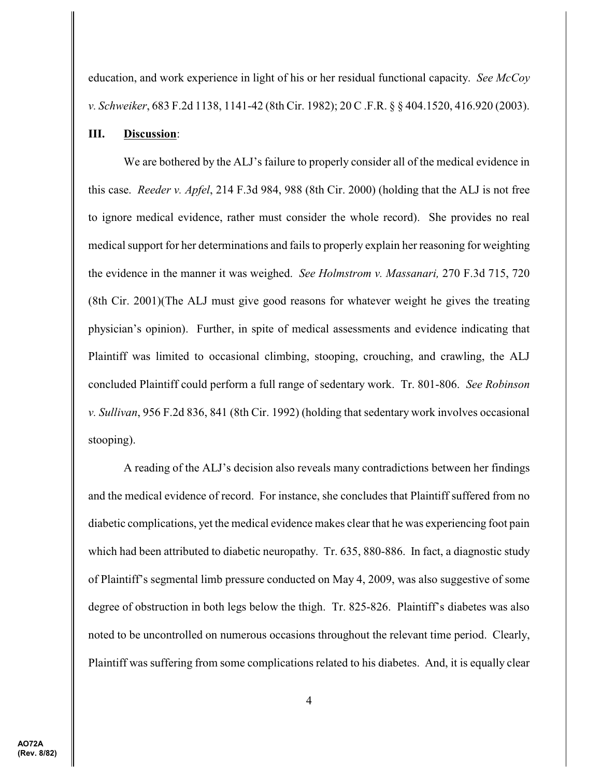education, and work experience in light of his or her residual functional capacity. *See McCoy v. Schweiker*, 683 F.2d 1138, 1141-42 (8th Cir. 1982); 20 C .F.R. § § 404.1520, 416.920 (2003).

### **III. Discussion**:

We are bothered by the ALJ's failure to properly consider all of the medical evidence in this case. *Reeder v. Apfel*, 214 F.3d 984, 988 (8th Cir. 2000) (holding that the ALJ is not free to ignore medical evidence, rather must consider the whole record). She provides no real medical support for her determinations and fails to properly explain her reasoning for weighting the evidence in the manner it was weighed. *See Holmstrom v. Massanari,* 270 F.3d 715, 720 (8th Cir. 2001)(The ALJ must give good reasons for whatever weight he gives the treating physician's opinion). Further, in spite of medical assessments and evidence indicating that Plaintiff was limited to occasional climbing, stooping, crouching, and crawling, the ALJ concluded Plaintiff could perform a full range of sedentary work. Tr. 801-806. *See Robinson v. Sullivan*, 956 F.2d 836, 841 (8th Cir. 1992) (holding that sedentary work involves occasional stooping).

A reading of the ALJ's decision also reveals many contradictions between her findings and the medical evidence of record. For instance, she concludes that Plaintiff suffered from no diabetic complications, yet the medical evidence makes clear that he was experiencing foot pain which had been attributed to diabetic neuropathy. Tr. 635, 880-886. In fact, a diagnostic study of Plaintiff's segmental limb pressure conducted on May 4, 2009, was also suggestive of some degree of obstruction in both legs below the thigh. Tr. 825-826. Plaintiff's diabetes was also noted to be uncontrolled on numerous occasions throughout the relevant time period. Clearly, Plaintiff was suffering from some complications related to his diabetes. And, it is equally clear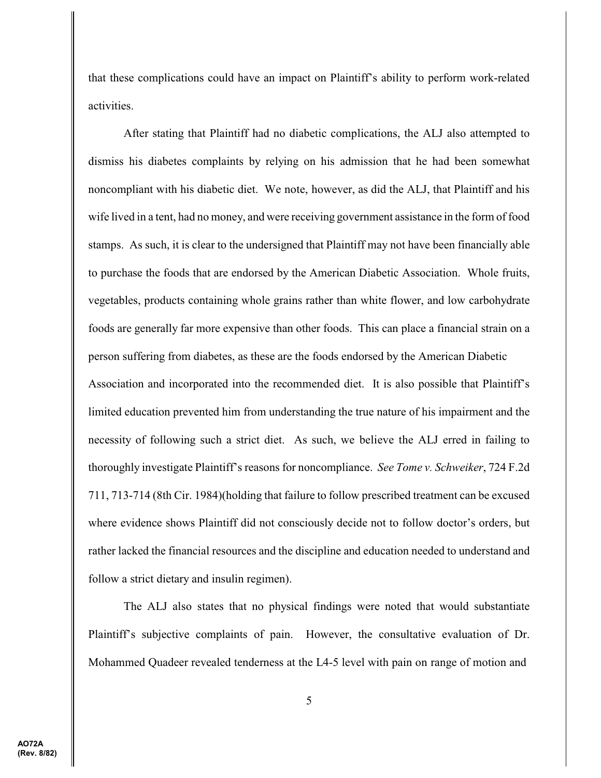that these complications could have an impact on Plaintiff's ability to perform work-related activities.

After stating that Plaintiff had no diabetic complications, the ALJ also attempted to dismiss his diabetes complaints by relying on his admission that he had been somewhat noncompliant with his diabetic diet. We note, however, as did the ALJ, that Plaintiff and his wife lived in a tent, had no money, and were receiving government assistance in the form of food stamps. As such, it is clear to the undersigned that Plaintiff may not have been financially able to purchase the foods that are endorsed by the American Diabetic Association. Whole fruits, vegetables, products containing whole grains rather than white flower, and low carbohydrate foods are generally far more expensive than other foods. This can place a financial strain on a person suffering from diabetes, as these are the foods endorsed by the American Diabetic Association and incorporated into the recommended diet. It is also possible that Plaintiff's limited education prevented him from understanding the true nature of his impairment and the necessity of following such a strict diet. As such, we believe the ALJ erred in failing to thoroughly investigate Plaintiff's reasons for noncompliance. *See Tome v. Schweiker*, 724 F.2d 711, 713-714 (8th Cir. 1984)(holding that failure to follow prescribed treatment can be excused where evidence shows Plaintiff did not consciously decide not to follow doctor's orders, but rather lacked the financial resources and the discipline and education needed to understand and follow a strict dietary and insulin regimen).

The ALJ also states that no physical findings were noted that would substantiate Plaintiff's subjective complaints of pain. However, the consultative evaluation of Dr. Mohammed Quadeer revealed tenderness at the L4-5 level with pain on range of motion and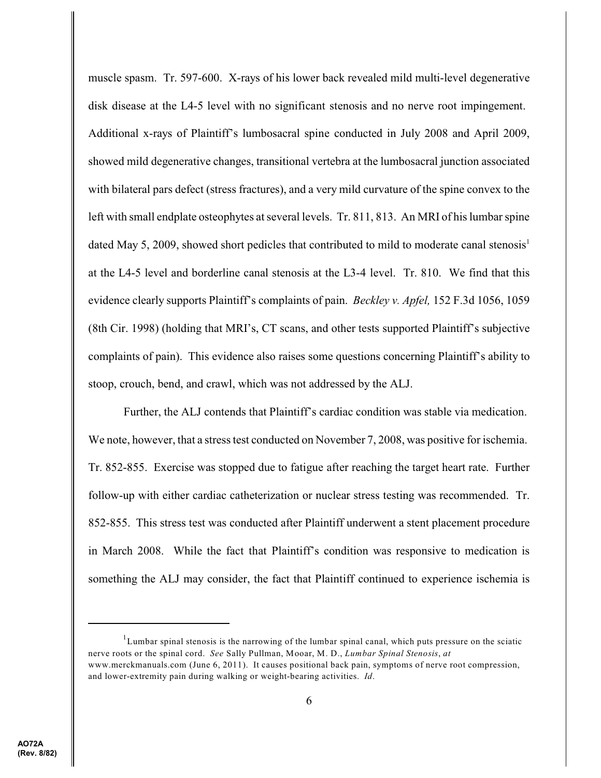muscle spasm. Tr. 597-600. X-rays of his lower back revealed mild multi-level degenerative disk disease at the L4-5 level with no significant stenosis and no nerve root impingement. Additional x-rays of Plaintiff's lumbosacral spine conducted in July 2008 and April 2009, showed mild degenerative changes, transitional vertebra at the lumbosacral junction associated with bilateral pars defect (stress fractures), and a very mild curvature of the spine convex to the left with small endplate osteophytes at several levels. Tr. 811, 813. An MRI of his lumbar spine dated May 5, 2009, showed short pedicles that contributed to mild to moderate canal stenosis<sup>1</sup> at the L4-5 level and borderline canal stenosis at the L3-4 level. Tr. 810. We find that this evidence clearly supports Plaintiff's complaints of pain. *Beckley v. Apfel,* 152 F.3d 1056, 1059 (8th Cir. 1998) (holding that MRI's, CT scans, and other tests supported Plaintiff's subjective complaints of pain). This evidence also raises some questions concerning Plaintiff's ability to stoop, crouch, bend, and crawl, which was not addressed by the ALJ.

Further, the ALJ contends that Plaintiff's cardiac condition was stable via medication. We note, however, that a stress test conducted on November 7, 2008, was positive for ischemia. Tr. 852-855. Exercise was stopped due to fatigue after reaching the target heart rate. Further follow-up with either cardiac catheterization or nuclear stress testing was recommended. Tr. 852-855. This stress test was conducted after Plaintiff underwent a stent placement procedure in March 2008. While the fact that Plaintiff's condition was responsive to medication is something the ALJ may consider, the fact that Plaintiff continued to experience ischemia is

 $1$ Lumbar spinal stenosis is the narrowing of the lumbar spinal canal, which puts pressure on the sciatic nerve roots or the spinal cord. *See* Sally Pullman, Mooar, M. D., *Lumbar Spinal Stenosis*, *at* www.merckmanuals.com (June 6, 2011). It causes positional back pain, symptoms of nerve root compression, and lower-extremity pain during walking or weight-bearing activities. *Id*.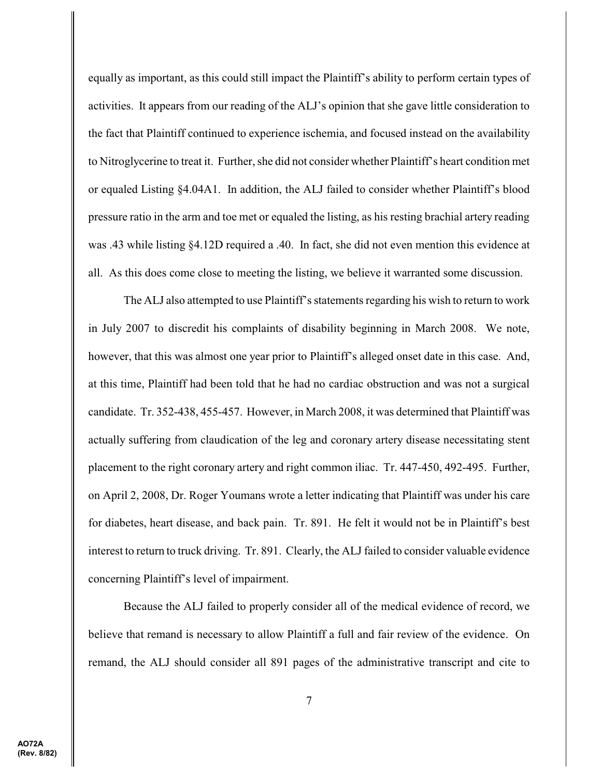equally as important, as this could still impact the Plaintiff's ability to perform certain types of activities. It appears from our reading of the ALJ's opinion that she gave little consideration to the fact that Plaintiff continued to experience ischemia, and focused instead on the availability to Nitroglycerine to treat it. Further, she did not consider whether Plaintiff's heart condition met or equaled Listing §4.04A1. In addition, the ALJ failed to consider whether Plaintiff's blood pressure ratio in the arm and toe met or equaled the listing, as his resting brachial artery reading was .43 while listing §4.12D required a .40. In fact, she did not even mention this evidence at all. As this does come close to meeting the listing, we believe it warranted some discussion.

The ALJ also attempted to use Plaintiff's statements regarding his wish to return to work in July 2007 to discredit his complaints of disability beginning in March 2008. We note, however, that this was almost one year prior to Plaintiff's alleged onset date in this case. And, at this time, Plaintiff had been told that he had no cardiac obstruction and was not a surgical candidate. Tr. 352-438, 455-457. However, in March 2008, it was determined that Plaintiff was actually suffering from claudication of the leg and coronary artery disease necessitating stent placement to the right coronary artery and right common iliac. Tr. 447-450, 492-495. Further, on April 2, 2008, Dr. Roger Youmans wrote a letter indicating that Plaintiff was under his care for diabetes, heart disease, and back pain. Tr. 891. He felt it would not be in Plaintiff's best interest to return to truck driving. Tr. 891. Clearly, the ALJ failed to consider valuable evidence concerning Plaintiff's level of impairment.

Because the ALJ failed to properly consider all of the medical evidence of record, we believe that remand is necessary to allow Plaintiff a full and fair review of the evidence. On remand, the ALJ should consider all 891 pages of the administrative transcript and cite to